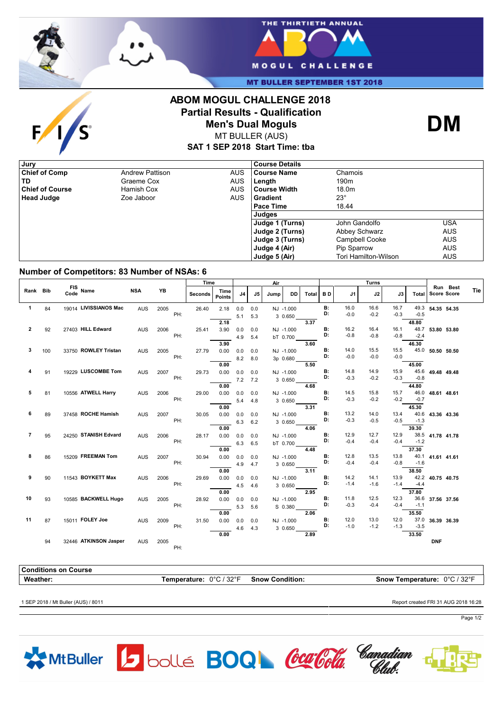

 $F/I/S$ 



**MT BULLER SEPTEMBER 1ST 2018** 

## **ABOM MOGUL CHALLENGE 2018 Partial Results - Qualification Men's Dual Moguls**



MT BULLER (AUS)

**SAT 1 SEP 2018 Start Time: tba**

| , Jury                 |                        |            | <b>Course Details</b> |                      |            |
|------------------------|------------------------|------------|-----------------------|----------------------|------------|
| <b>Chief of Comp</b>   | <b>Andrew Pattison</b> | <b>AUS</b> | <b>Course Name</b>    | Chamois              |            |
| TD                     | Graeme Cox             | AUS        | Length                | 190 <sub>m</sub>     |            |
| <b>Chief of Course</b> | Hamish Cox             | <b>AUS</b> | l Course Width        | 18.0m                |            |
| <b>Head Judge</b>      | Zoe Jaboor             | <b>AUS</b> | l Gradient            | $23^\circ$           |            |
|                        |                        |            | Pace Time             | 18.44                |            |
|                        |                        |            | Judges                |                      |            |
|                        |                        |            | Judge 1 (Turns)       | John Gandolfo        | USA        |
|                        |                        |            | Judge 2 (Turns)       | Abbey Schwarz        | <b>AUS</b> |
|                        |                        |            | Judge 3 (Turns)       | Campbell Cooke       | <b>AUS</b> |
|                        |                        |            | Judge 4 (Air)         | Pip Sparrow          | <b>AUS</b> |
|                        |                        |            | Judge 5 (Air)         | Tori Hamilton-Wilson | <b>AUS</b> |

## **Number of Competitors: 83 Number of NSAs: 6**

|                |     |                       |            |      | Time           |                       |     |     | Air  |           |       |             |                | <b>Turns</b>   |                |               |                  |                                |            |
|----------------|-----|-----------------------|------------|------|----------------|-----------------------|-----|-----|------|-----------|-------|-------------|----------------|----------------|----------------|---------------|------------------|--------------------------------|------------|
| Rank Bib       |     | FIS Name<br>Code      | <b>NSA</b> | YB   | <b>Seconds</b> | Time<br><b>Points</b> | J4  | J5  | Jump | <b>DD</b> | Total | <b>BD</b>   | J1             | J2             | J3             | Total         |                  | Run Best<br><b>Score Score</b> | <b>Tie</b> |
| 1              | 84  | 19014 LIVISSIANOS Mac | <b>AUS</b> | 2005 | 26.40<br>PH:   | 2.18                  | 0.0 | 0.0 |      | NJ -1.000 |       | B:<br>D:    | 16.0<br>$-0.0$ | 16.6<br>$-0.2$ | 16.7<br>$-0.3$ | $-0.5$        | 49.3 54.35 54.35 |                                |            |
|                |     |                       |            |      |                | 2.18                  | 5.1 | 5.3 |      | 3 0.650   | 3.37  |             |                |                |                | 48.80         |                  |                                |            |
| 2              | 92  | 27403 HILL Edward     | <b>AUS</b> | 2006 | 25.41          | 3.90                  | 0.0 | 0.0 |      | NJ -1.000 |       | <b>B:</b>   | 16.2           | 16.4           | 16.1           | 48.7          | 53.80 53.80      |                                |            |
|                |     |                       |            |      | PH:            |                       | 4.9 | 5.4 |      | bT 0.700  |       | D:          | $-0.8$         | $-0.8$         | $-0.8$         | $-2.4$        |                  |                                |            |
|                |     |                       |            |      |                | 3.90                  |     |     |      |           | 3.60  |             |                |                |                | 46.30         |                  |                                |            |
| 3              | 100 | 33750 ROWLEY Tristan  | <b>AUS</b> | 2005 | 27.79          | 0.00                  | 0.0 | 0.0 |      | NJ -1.000 |       | <b>B:</b>   | 14.0           | 15.5           | 15.5           |               | 45.0 50.50 50.50 |                                |            |
|                |     |                       |            |      | PH:            |                       | 8.2 | 8.0 |      | 3p 0.680  |       | D:          | $-0.0$         | $-0.0$         | $-0.0$         |               |                  |                                |            |
|                |     |                       |            |      |                | 0.00                  |     |     |      |           | 5.50  |             |                |                |                | 45.00         |                  |                                |            |
|                | 91  | 19229 LUSCOMBE Tom    | <b>AUS</b> | 2007 | 29.73          | 0.00                  | 0.0 | 0.0 |      | NJ -1.000 |       | <b>B:</b>   | 14.8           | 14.9           | 15.9           |               | 45.6 49.48 49.48 |                                |            |
|                |     |                       |            |      | PH:            |                       | 7.2 | 7.2 |      | 3 0.650   |       | D:          | $-0.3$         | $-0.2$         | $-0.3$         | $-0.8$        |                  |                                |            |
|                |     |                       |            |      |                | 0.00                  |     |     |      |           | 4.68  |             |                |                |                | 44.80         |                  |                                |            |
| 5              | 81  | 10556 ATWELL Harry    | <b>AUS</b> | 2006 | 29.00          | 0.00                  | 0.0 | 0.0 |      | NJ -1.000 |       | <b>B:</b>   | 14.5           | 15.8           | 15.7           | 46.0          | 48.61 48.61      |                                |            |
|                |     |                       |            |      | PH:            |                       | 5.4 | 4.8 |      | 3 0.650   |       | D:          | $-0.3$         | $-0.2$         | $-0.2$         | $-0.7$        |                  |                                |            |
|                |     |                       |            |      |                | 0.00                  |     |     |      |           | 3.31  |             |                |                |                | 45.30         |                  |                                |            |
| 6              | 89  | 37458 ROCHE Hamish    | <b>AUS</b> | 2007 | 30.05          | 0.00                  | 0.0 | 0.0 |      | NJ -1.000 |       | <b>B:</b>   | 13.2           | 14.0           | 13.4           | 40.6          | 43.36 43.36      |                                |            |
|                |     |                       |            |      | PH:            |                       | 6.3 | 6.2 |      | 3 0.650   |       | D:          | $-0.3$         | $-0.5$         | $-0.5$         | $-1.3$        |                  |                                |            |
|                |     |                       |            |      |                | 0.00                  |     |     |      |           | 4.06  |             |                |                |                | 39.30         |                  |                                |            |
| $\overline{7}$ | 95  | 24250 STANISH Edvard  | <b>AUS</b> | 2006 | 28.17          | 0.00                  | 0.0 | 0.0 |      | NJ -1.000 |       | <b>B:</b>   | 12.9           | 12.7           | 12.9           |               | 38.5 41.78 41.78 |                                |            |
|                |     |                       |            |      | PH:            |                       | 6.3 | 6.5 |      | bT 0.700  |       | D:          | $-0.4$         | $-0.4$         | $-0.4$         | $-1.2$        |                  |                                |            |
|                |     |                       |            |      |                | 0.00                  |     |     |      |           | 4.48  |             |                |                |                | 37.30         |                  |                                |            |
| 8              | 86  | 15209 FREEMAN Tom     | AUS        | 2007 | 30.94          | 0.00                  | 0.0 | 0.0 |      | NJ -1.000 |       | $B$ :<br>D: | 12.8           | 13.5           | 13.8           |               | 40.1 41.61 41.61 |                                |            |
|                |     |                       |            |      | PH:            |                       | 4.9 | 4.7 |      | 3 0.650   |       |             | $-0.4$         | $-0.4$         | $-0.8$         | $-1.6$        |                  |                                |            |
|                |     |                       |            |      |                | 0.00                  |     |     |      |           | 3.11  |             |                |                |                | 38.50         |                  |                                |            |
| 9              | 90  | 11543 BOYKETT Max     | <b>AUS</b> | 2006 | 29.69<br>PH:   | 0.00                  | 0.0 | 0.0 |      | NJ -1.000 |       | B:<br>D:    | 14.2<br>$-1.4$ | 14.1           | 13.9<br>$-1.4$ |               | 42.2 40.75 40.75 |                                |            |
|                |     |                       |            |      |                |                       | 4.5 | 4.6 |      | 3 0.650   |       |             |                | $-1.6$         |                | $-4.4$        |                  |                                |            |
|                |     | 10585 BACKWELL Hugo   |            |      |                | 0.00                  |     |     |      |           | 2.95  | <b>B:</b>   |                |                |                | 37.80<br>36.6 |                  |                                |            |
| 10             | 93  |                       | <b>AUS</b> | 2005 | 28.92<br>PH:   | 0.00                  | 0.0 | 0.0 |      | NJ -1.000 |       | D:          | 11.8<br>$-0.3$ | 12.5<br>$-0.4$ | 12.3<br>$-0.4$ | $-1.1$        | 37.56 37.56      |                                |            |
|                |     |                       |            |      |                | 0.00                  | 5.3 | 5.6 |      | S 0.380   | 2.06  |             |                |                |                | 35.50         |                  |                                |            |
| 11             | 87  | 15011 FOLEY Joe       | <b>AUS</b> | 2009 | 31.50          | 0.00                  | 0.0 | 0.0 |      | NJ -1.000 |       | <b>B:</b>   | 12.0           | 13.0           | 12.0           | 37.0          | 36.39 36.39      |                                |            |
|                |     |                       |            |      | PH:            |                       |     |     |      |           |       | D:          | $-1.0$         | $-1.2$         | $-1.3$         | $-3.5$        |                  |                                |            |
|                |     |                       |            |      |                | 0.00                  | 4.6 | 4.3 |      | 3 0.650   | 2.89  |             |                |                |                | 33.50         |                  |                                |            |
|                | 94  | 32446 ATKINSON Jasper | <b>AUS</b> | 2005 |                |                       |     |     |      |           |       |             |                |                |                |               | <b>DNF</b>       |                                |            |
|                |     |                       |            |      | PH:            |                       |     |     |      |           |       |             |                |                |                |               |                  |                                |            |

**Conditions on Course Weather: Temperature:** 0°C / 32°F **Snow Condition: Snow Temperature:** 0°C / 32°F 1 SEP 2018 / Mt Buller (AUS) / 8011 Report created FRI 31 AUG 2018 16:28







Page 1/2